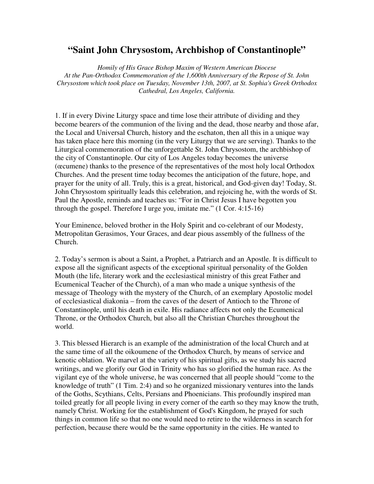## **"Saint John Chrysostom, Archbishop of Constantinople"**

*Homily of His Grace Bishop Maxim of Western American Diocese At the Pan-Orthodox Commemoration of the 1,600th Anniversary of the Repose of St. John Chrysostom which took place on Tuesday, November 13th, 2007, at St. Sophia's Greek Orthodox Cathedral, Los Angeles, California.* 

1. If in every Divine Liturgy space and time lose their attribute of dividing and they become bearers of the communion of the living and the dead, those nearby and those afar, the Local and Universal Church, history and the eschaton, then all this in a unique way has taken place here this morning (in the very Liturgy that we are serving). Thanks to the Liturgical commemoration of the unforgettable St. John Chrysostom, the archbishop of the city of Constantinople. Our city of Los Angeles today becomes the universe (œcumene) thanks to the presence of the representatives of the most holy local Orthodox Churches. And the present time today becomes the anticipation of the future, hope, and prayer for the unity of all. Truly, this is a great, historical, and God-given day! Today, St. John Chrysostom spiritually leads this celebration, and rejoicing he, with the words of St. Paul the Apostle, reminds and teaches us: "For in Christ Jesus I have begotten you through the gospel. Therefore I urge you, imitate me." (1 Cor. 4:15-16)

Your Eminence, beloved brother in the Holy Spirit and co-celebrant of our Modesty, Metropolitan Gerasimos, Your Graces, and dear pious assembly of the fullness of the Church.

2. Today's sermon is about a Saint, a Prophet, a Patriarch and an Apostle. It is difficult to expose all the significant aspects of the exceptional spiritual personality of the Golden Mouth (the life, literary work and the ecclesiastical ministry of this great Father and Ecumenical Teacher of the Church), of a man who made a unique synthesis of the message of Theology with the mystery of the Church, of an exemplary Apostolic model of ecclesiastical diakonia – from the caves of the desert of Antioch to the Throne of Constantinople, until his death in exile. His radiance affects not only the Ecumenical Throne, or the Orthodox Church, but also all the Christian Churches throughout the world.

3. This blessed Hierarch is an example of the administration of the local Church and at the same time of all the oikoumene of the Orthodox Church, by means of service and kenotic oblation. We marvel at the variety of his spiritual gifts, as we study his sacred writings, and we glorify our God in Trinity who has so glorified the human race. As the vigilant eye of the whole universe, he was concerned that all people should "come to the knowledge of truth" (1 Tim. 2:4) and so he organized missionary ventures into the lands of the Goths, Scythians, Celts, Persians and Phoenicians. This profoundly inspired man toiled greatly for all people living in every corner of the earth so they may know the truth, namely Christ. Working for the establishment of God's Kingdom, he prayed for such things in common life so that no one would need to retire to the wilderness in search for perfection, because there would be the same opportunity in the cities. He wanted to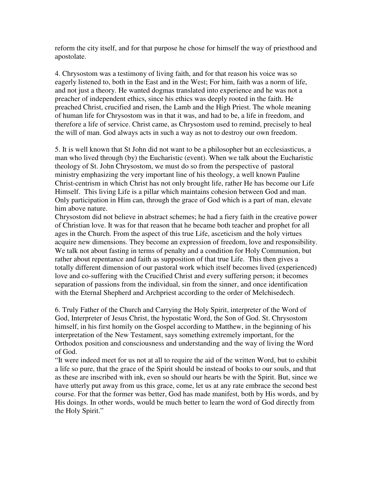reform the city itself, and for that purpose he chose for himself the way of priesthood and apostolate.

4. Chrysostom was a testimony of living faith, and for that reason his voice was so eagerly listened to, both in the East and in the West; For him, faith was a norm of life, and not just a theory. He wanted dogmas translated into experience and he was not a preacher of independent ethics, since his ethics was deeply rooted in the faith. He preached Christ, crucified and risen, the Lamb and the High Priest. The whole meaning of human life for Chrysostom was in that it was, and had to be, a life in freedom, and therefore a life of service. Christ came, as Chrysostom used to remind, precisely to heal the will of man. God always acts in such a way as not to destroy our own freedom.

5. It is well known that St John did not want to be a philosopher but an ecclesiasticus, a man who lived through (by) the Eucharistic (event). When we talk about the Eucharistic theology of St. John Chrysostom, we must do so from the perspective of pastoral ministry emphasizing the very important line of his theology, a well known Pauline Christ-centrism in which Christ has not only brought life, rather He has become our Life Himself. This living Life is a pillar which maintains cohesion between God and man. Only participation in Him can, through the grace of God which is a part of man, elevate him above nature.

Chrysostom did not believe in abstract schemes; he had a fiery faith in the creative power of Christian love. It was for that reason that he became both teacher and prophet for all ages in the Church. From the aspect of this true Life, asceticism and the holy virtues acquire new dimensions. They become an expression of freedom, love and responsibility. We talk not about fasting in terms of penalty and a condition for Holy Communion, but rather about repentance and faith as supposition of that true Life. This then gives a totally different dimension of our pastoral work which itself becomes lived (experienced) love and co-suffering with the Crucified Christ and every suffering person; it becomes separation of passions from the individual, sin from the sinner, and once identification with the Eternal Shepherd and Archpriest according to the order of Melchisedech.

6. Truly Father of the Church and Carrying the Holy Spirit, interpreter of the Word of God, Interpreter of Jesus Christ, the hypostatic Word, the Son of God. St. Chrysostom himself, in his first homily on the Gospel according to Matthew, in the beginning of his interpretation of the New Testament, says something extremely important, for the Orthodox position and consciousness and understanding and the way of living the Word of God.

"It were indeed meet for us not at all to require the aid of the written Word, but to exhibit a life so pure, that the grace of the Spirit should be instead of books to our souls, and that as these are inscribed with ink, even so should our hearts be with the Spirit. But, since we have utterly put away from us this grace, come, let us at any rate embrace the second best course. For that the former was better, God has made manifest, both by His words, and by His doings. In other words, would be much better to learn the word of God directly from the Holy Spirit."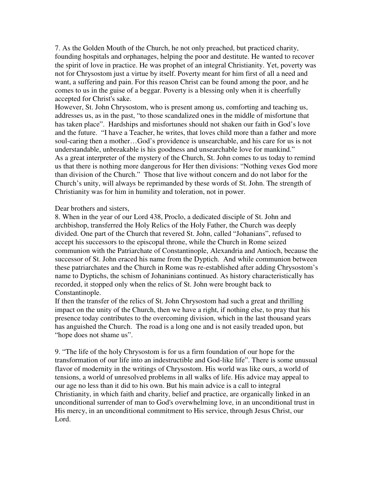7. As the Golden Mouth of the Church, he not only preached, but practiced charity, founding hospitals and orphanages, helping the poor and destitute. He wanted to recover the spirit of love in practice. He was prophet of an integral Christianity. Yet, poverty was not for Chrysostom just a virtue by itself. Poverty meant for him first of all a need and want, a suffering and pain. For this reason Christ can be found among the poor, and he comes to us in the guise of a beggar. Poverty is a blessing only when it is cheerfully accepted for Christ's sake.

However, St. John Chrysostom, who is present among us, comforting and teaching us, addresses us, as in the past, "to those scandalized ones in the middle of misfortune that has taken place". Hardships and misfortunes should not shaken our faith in God's love and the future. "I have a Teacher, he writes, that loves child more than a father and more soul-caring then a mother…God's providence is unsearchable, and his care for us is not understandable, unbreakable is his goodness and unsearchable love for mankind." As a great interpreter of the mystery of the Church, St. John comes to us today to remind us that there is nothing more dangerous for Her then divisions: "Nothing vexes God more than division of the Church." Those that live without concern and do not labor for the Church's unity, will always be reprimanded by these words of St. John. The strength of Christianity was for him in humility and toleration, not in power.

Dear brothers and sisters,

8. When in the year of our Lord 438, Proclo, a dedicated disciple of St. John and archbishop, transferred the Holy Relics of the Holy Father, the Church was deeply divided. One part of the Church that revered St. John, called "Johanians", refused to accept his successors to the episcopal throne, while the Church in Rome seized communion with the Patriarchate of Constantinople, Alexandria and Antioch, because the successor of St. John eraced his name from the Dyptich. And while communion between these patriarchates and the Church in Rome was re-established after adding Chrysostom's name to Dyptichs, the schism of Johaninians continued. As history characteristically has recorded, it stopped only when the relics of St. John were brought back to Constantinople.

If then the transfer of the relics of St. John Chrysostom had such a great and thrilling impact on the unity of the Church, then we have a right, if nothing else, to pray that his presence today contributes to the overcoming division, which in the last thousand years has anguished the Church. The road is a long one and is not easily treaded upon, but "hope does not shame us".

9. "The life of the holy Chrysostom is for us a firm foundation of our hope for the transformation of our life into an indestructible and God-like life". There is some unusual flavor of modernity in the writings of Chrysostom. His world was like ours, a world of tensions, a world of unresolved problems in all walks of life. His advice may appeal to our age no less than it did to his own. But his main advice is a call to integral Christianity, in which faith and charity, belief and practice, are organically linked in an unconditional surrender of man to God's overwhelming love, in an unconditional trust in His mercy, in an unconditional commitment to His service, through Jesus Christ, our Lord.